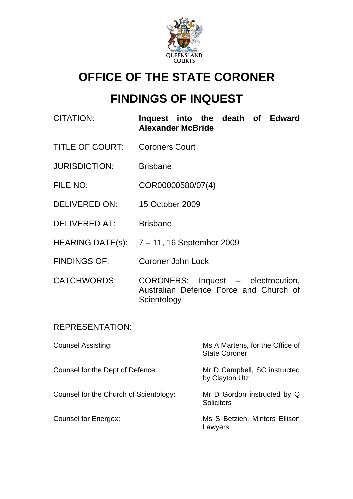

# **OFFICE OF THE STATE CORONER**

# **FINDINGS OF INQUEST**

| <b>CITATION:</b>       | Inquest into the death of Edward<br><b>Alexander McBride</b>                                |
|------------------------|---------------------------------------------------------------------------------------------|
| <b>TITLE OF COURT:</b> | <b>Coroners Court</b>                                                                       |
| <b>JURISDICTION:</b>   | <b>Brisbane</b>                                                                             |
| FILE NO:               | COR00000580/07(4)                                                                           |
| DELIVERED ON:          | 15 October 2009                                                                             |
| DELIVERED AT:          | <b>Brisbane</b>                                                                             |
|                        | HEARING DATE(s): $7 - 11$ , 16 September 2009                                               |
| <b>FINDINGS OF:</b>    | <b>Coroner John Lock</b>                                                                    |
| <b>CATCHWORDS:</b>     | CORONERS: Inquest - electrocution,<br>Australian Defence Force and Church of<br>Scientology |
| <b>REPRESENTATION:</b> |                                                                                             |

| <b>Counsel Assisting:</b>              | Ms A Martens, for the Office of<br><b>State Coroner</b> |
|----------------------------------------|---------------------------------------------------------|
| Counsel for the Dept of Defence:       | Mr D Campbell, SC instructed<br>by Clayton Utz          |
| Counsel for the Church of Scientology: | Mr D Gordon instructed by Q<br><b>Solicitors</b>        |
| <b>Counsel for Energex:</b>            | Ms S Betzien, Minters Ellison<br>Lawyers                |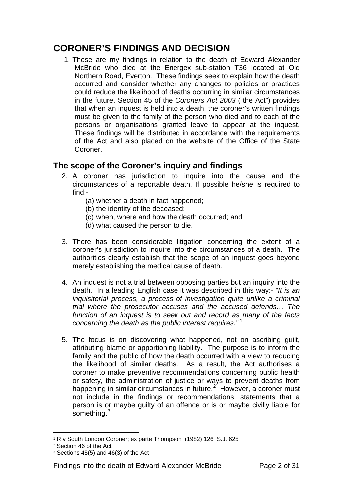# **CORONER'S FINDINGS AND DECISION**

1. These are my findings in relation to the death of Edward Alexander McBride who died at the Energex sub-station T36 located at Old Northern Road, Everton. These findings seek to explain how the death occurred and consider whether any changes to policies or practices could reduce the likelihood of deaths occurring in similar circumstances in the future. Section 45 of the *Coroners Act 2003* ("the Act") provides that when an inquest is held into a death, the coroner's written findings must be given to the family of the person who died and to each of the persons or organisations granted leave to appear at the inquest. These findings will be distributed in accordance with the requirements of the Act and also placed on the website of the Office of the State Coroner.

## **The scope of the Coroner's inquiry and findings**

- 2. A coroner has jurisdiction to inquire into the cause and the circumstances of a reportable death. If possible he/she is required to find:-
	- (a) whether a death in fact happened;
	- (b) the identity of the deceased;
	- (c) when, where and how the death occurred; and
	- (d) what caused the person to die.
- 3. There has been considerable litigation concerning the extent of a coroner's jurisdiction to inquire into the circumstances of a death. The authorities clearly establish that the scope of an inquest goes beyond merely establishing the medical cause of death.
- 4. An inquest is not a trial between opposing parties but an inquiry into the death. In a leading English case it was described in this way:- *"It is an inquisitorial process, a process of investigation quite unlike a criminal trial where the prosecutor accuses and the accused defends… The function of an inquest is to seek out and record as many of the facts concerning the death as the public interest requires."* [1](#page-1-0)
- 5. The focus is on discovering what happened, not on ascribing guilt, attributing blame or apportioning liability. The purpose is to inform the family and the public of how the death occurred with a view to reducing the likelihood of similar deaths. As a result, the Act authorises a coroner to make preventive recommendations concerning public health or safety, the administration of justice or ways to prevent deaths from happening in similar circumstances in future.<sup>[2](#page-1-1)</sup> However, a coroner must not include in the findings or recommendations, statements that a person is or maybe guilty of an offence or is or maybe civilly liable for something.<sup>[3](#page-1-2)</sup>

 $\overline{a}$ <sup>1</sup> R v South London Coroner; ex parte Thompson (1982) 126 S.J. 625

<span id="page-1-1"></span><span id="page-1-0"></span><sup>2</sup> Section 46 of the Act

<span id="page-1-2"></span> $3$  Sections 45(5) and 46(3) of the Act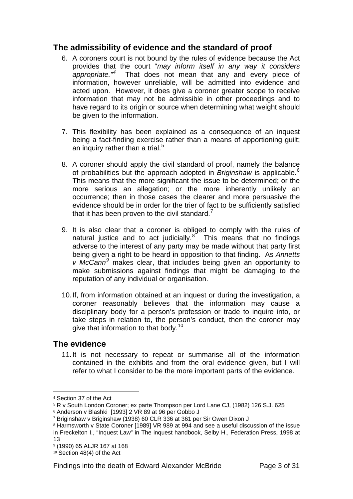## **The admissibility of evidence and the standard of proof**

- 6. A coroners court is not bound by the rules of evidence because the Act provides that the court "*may inform itself in any way it considers appropriate."[4](#page-2-0)* That does not mean that any and every piece of information, however unreliable, will be admitted into evidence and acted upon. However, it does give a coroner greater scope to receive information that may not be admissible in other proceedings and to have regard to its origin or source when determining what weight should be given to the information.
- 7. This flexibility has been explained as a consequence of an inquest being a fact-finding exercise rather than a means of apportioning guilt; an inquiry rather than a trial.<sup>[5](#page-2-1)</sup>
- 8. A coroner should apply the civil standard of proof, namely the balance of probabilities but the approach adopted in *Briginshaw* is applicable.[6](#page-2-2) This means that the more significant the issue to be determined; or the more serious an allegation; or the more inherently unlikely an occurrence; then in those cases the clearer and more persuasive the evidence should be in order for the trier of fact to be sufficiently satisfied that it has been proven to the civil standard.<sup>[7](#page-2-3)</sup>
- 9. It is also clear that a coroner is obliged to comply with the rules of natural justice and to act judicially. $8^{\circ}$  $8^{\circ}$  This means that no findings adverse to the interest of any party may be made without that party first being given a right to be heard in opposition to that finding. As *Annetts v McCann[9](#page-2-5)* makes clear, that includes being given an opportunity to make submissions against findings that might be damaging to the reputation of any individual or organisation.
- 10. If, from information obtained at an inquest or during the investigation, a coroner reasonably believes that the information may cause a disciplinary body for a person's profession or trade to inquire into, or take steps in relation to, the person's conduct, then the coroner may give that information to that body.<sup>[10](#page-2-6)</sup>

## **The evidence**

11. It is not necessary to repeat or summarise all of the information contained in the exhibits and from the oral evidence given, but I will refer to what I consider to be the more important parts of the evidence.

<span id="page-2-0"></span><sup>4</sup> Section 37 of the Act

<span id="page-2-1"></span><sup>5</sup> R v South London Coroner; ex parte Thompson per Lord Lane CJ, (1982) 126 S.J. 625

<span id="page-2-2"></span><sup>6</sup> Anderson v Blashki [1993] 2 VR 89 at 96 per Gobbo J

<span id="page-2-3"></span><sup>7</sup> Briginshaw v Briginshaw (1938) 60 CLR 336 at 361 per Sir Owen Dixon J

<span id="page-2-4"></span><sup>&</sup>lt;sup>8</sup> Harmsworth v State Coroner [1989] VR 989 at 994 and see a useful discussion of the issue in Freckelton I., "Inquest Law" in The inquest handbook, Selby H., Federation Press, 1998 at 13

<span id="page-2-5"></span><sup>9</sup> (1990) 65 ALJR 167 at 168

<span id="page-2-6"></span><sup>&</sup>lt;sup>10</sup> Section 48(4) of the Act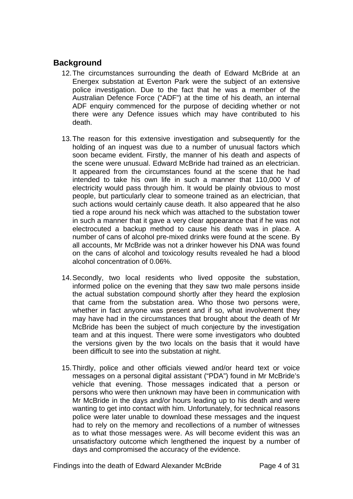## **Background**

- 12. The circumstances surrounding the death of Edward McBride at an Energex substation at Everton Park were the subject of an extensive police investigation. Due to the fact that he was a member of the Australian Defence Force ("ADF") at the time of his death, an internal ADF enquiry commenced for the purpose of deciding whether or not there were any Defence issues which may have contributed to his death.
- 13. The reason for this extensive investigation and subsequently for the holding of an inquest was due to a number of unusual factors which soon became evident. Firstly, the manner of his death and aspects of the scene were unusual. Edward McBride had trained as an electrician. It appeared from the circumstances found at the scene that he had intended to take his own life in such a manner that 110,000 V of electricity would pass through him. It would be plainly obvious to most people, but particularly clear to someone trained as an electrician, that such actions would certainly cause death. It also appeared that he also tied a rope around his neck which was attached to the substation tower in such a manner that it gave a very clear appearance that if he was not electrocuted a backup method to cause his death was in place. A number of cans of alcohol pre-mixed drinks were found at the scene. By all accounts, Mr McBride was not a drinker however his DNA was found on the cans of alcohol and toxicology results revealed he had a blood alcohol concentration of 0.06%.
- 14. Secondly, two local residents who lived opposite the substation, informed police on the evening that they saw two male persons inside the actual substation compound shortly after they heard the explosion that came from the substation area. Who those two persons were, whether in fact anyone was present and if so, what involvement they may have had in the circumstances that brought about the death of Mr McBride has been the subject of much conjecture by the investigation team and at this inquest. There were some investigators who doubted the versions given by the two locals on the basis that it would have been difficult to see into the substation at night.
- 15. Thirdly, police and other officials viewed and/or heard text or voice messages on a personal digital assistant ("PDA") found in Mr McBride's vehicle that evening. Those messages indicated that a person or persons who were then unknown may have been in communication with Mr McBride in the days and/or hours leading up to his death and were wanting to get into contact with him. Unfortunately, for technical reasons police were later unable to download these messages and the inquest had to rely on the memory and recollections of a number of witnesses as to what those messages were. As will become evident this was an unsatisfactory outcome which lengthened the inquest by a number of days and compromised the accuracy of the evidence.

Findings into the death of Edward Alexander McBride Page 4 of 31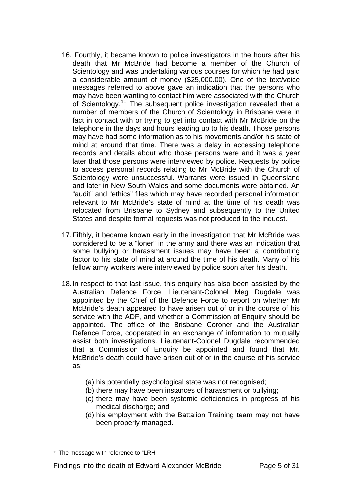- 16. Fourthly, it became known to police investigators in the hours after his death that Mr McBride had become a member of the Church of Scientology and was undertaking various courses for which he had paid a considerable amount of money (\$25,000.00). One of the text/voice messages referred to above gave an indication that the persons who may have been wanting to contact him were associated with the Church of Scientology.[11](#page-4-0) The subsequent police investigation revealed that a number of members of the Church of Scientology in Brisbane were in fact in contact with or trying to get into contact with Mr McBride on the telephone in the days and hours leading up to his death. Those persons may have had some information as to his movements and/or his state of mind at around that time. There was a delay in accessing telephone records and details about who those persons were and it was a year later that those persons were interviewed by police. Requests by police to access personal records relating to Mr McBride with the Church of Scientology were unsuccessful. Warrants were issued in Queensland and later in New South Wales and some documents were obtained. An "audit" and "ethics" files which may have recorded personal information relevant to Mr McBride's state of mind at the time of his death was relocated from Brisbane to Sydney and subsequently to the United States and despite formal requests was not produced to the inquest.
- 17. Fifthly, it became known early in the investigation that Mr McBride was considered to be a "loner" in the army and there was an indication that some bullying or harassment issues may have been a contributing factor to his state of mind at around the time of his death. Many of his fellow army workers were interviewed by police soon after his death.
- 18. In respect to that last issue, this enquiry has also been assisted by the Australian Defence Force. Lieutenant-Colonel Meg Dugdale was appointed by the Chief of the Defence Force to report on whether Mr McBride's death appeared to have arisen out of or in the course of his service with the ADF, and whether a Commission of Enquiry should be appointed. The office of the Brisbane Coroner and the Australian Defence Force, cooperated in an exchange of information to mutually assist both investigations. Lieutenant-Colonel Dugdale recommended that a Commission of Enquiry be appointed and found that Mr. McBride's death could have arisen out of or in the course of his service as:
	- (a) his potentially psychological state was not recognised;
	- (b) there may have been instances of harassment or bullying;
	- (c) there may have been systemic deficiencies in progress of his medical discharge; and
	- (d) his employment with the Battalion Training team may not have been properly managed.

 $\overline{a}$ 

#### Findings into the death of Edward Alexander McBride Page 5 of 31

<span id="page-4-0"></span><sup>&</sup>lt;sup>11</sup> The message with reference to "LRH"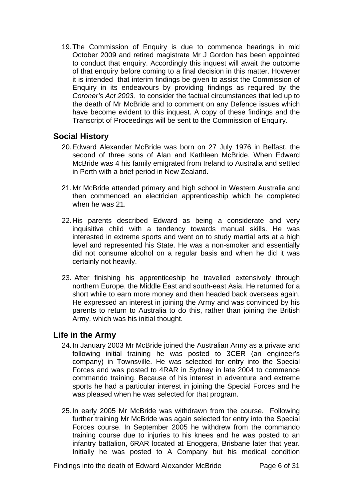19. The Commission of Enquiry is due to commence hearings in mid October 2009 and retired magistrate Mr J Gordon has been appointed to conduct that enquiry. Accordingly this inquest will await the outcome of that enquiry before coming to a final decision in this matter. However it is intended that interim findings be given to assist the Commission of Enquiry in its endeavours by providing findings as required by the *Coroner's Act 2003,* to consider the factual circumstances that led up to the death of Mr McBride and to comment on any Defence issues which have become evident to this inquest. A copy of these findings and the Transcript of Proceedings will be sent to the Commission of Enquiry.

## **Social History**

- 20. Edward Alexander McBride was born on 27 July 1976 in Belfast, the second of three sons of Alan and Kathleen McBride. When Edward McBride was 4 his family emigrated from Ireland to Australia and settled in Perth with a brief period in New Zealand.
- 21. Mr McBride attended primary and high school in Western Australia and then commenced an electrician apprenticeship which he completed when he was 21.
- 22. His parents described Edward as being a considerate and very inquisitive child with a tendency towards manual skills. He was interested in extreme sports and went on to study martial arts at a high level and represented his State. He was a non-smoker and essentially did not consume alcohol on a regular basis and when he did it was certainly not heavily.
- 23. After finishing his apprenticeship he travelled extensively through northern Europe, the Middle East and south-east Asia. He returned for a short while to earn more money and then headed back overseas again. He expressed an interest in joining the Army and was convinced by his parents to return to Australia to do this, rather than joining the British Army, which was his initial thought.

## **Life in the Army**

- 24. In January 2003 Mr McBride joined the Australian Army as a private and following initial training he was posted to 3CER (an engineer's company) in Townsville. He was selected for entry into the Special Forces and was posted to 4RAR in Sydney in late 2004 to commence commando training. Because of his interest in adventure and extreme sports he had a particular interest in joining the Special Forces and he was pleased when he was selected for that program.
- 25. In early 2005 Mr McBride was withdrawn from the course. Following further training Mr McBride was again selected for entry into the Special Forces course. In September 2005 he withdrew from the commando training course due to injuries to his knees and he was posted to an infantry battalion, 6RAR located at Enoggera, Brisbane later that year. Initially he was posted to A Company but his medical condition

Findings into the death of Edward Alexander McBride Page 6 of 31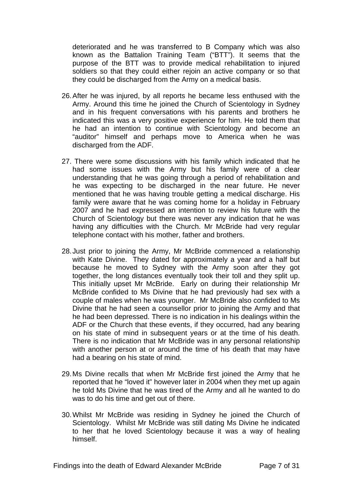deteriorated and he was transferred to B Company which was also known as the Battalion Training Team ("BTT"). It seems that the purpose of the BTT was to provide medical rehabilitation to injured soldiers so that they could either rejoin an active company or so that they could be discharged from the Army on a medical basis.

- 26. After he was injured, by all reports he became less enthused with the Army. Around this time he joined the Church of Scientology in Sydney and in his frequent conversations with his parents and brothers he indicated this was a very positive experience for him. He told them that he had an intention to continue with Scientology and become an "auditor" himself and perhaps move to America when he was discharged from the ADF.
- 27. There were some discussions with his family which indicated that he had some issues with the Army but his family were of a clear understanding that he was going through a period of rehabilitation and he was expecting to be discharged in the near future. He never mentioned that he was having trouble getting a medical discharge. His family were aware that he was coming home for a holiday in February 2007 and he had expressed an intention to review his future with the Church of Scientology but there was never any indication that he was having any difficulties with the Church. Mr McBride had very regular telephone contact with his mother, father and brothers.
- 28. Just prior to joining the Army, Mr McBride commenced a relationship with Kate Divine. They dated for approximately a year and a half but because he moved to Sydney with the Army soon after they got together, the long distances eventually took their toll and they split up. This initially upset Mr McBride. Early on during their relationship Mr McBride confided to Ms Divine that he had previously had sex with a couple of males when he was younger. Mr McBride also confided to Ms Divine that he had seen a counsellor prior to joining the Army and that he had been depressed. There is no indication in his dealings within the ADF or the Church that these events, if they occurred, had any bearing on his state of mind in subsequent years or at the time of his death. There is no indication that Mr McBride was in any personal relationship with another person at or around the time of his death that may have had a bearing on his state of mind.
- 29. Ms Divine recalls that when Mr McBride first joined the Army that he reported that he "loved it" however later in 2004 when they met up again he told Ms Divine that he was tired of the Army and all he wanted to do was to do his time and get out of there.
- 30. Whilst Mr McBride was residing in Sydney he joined the Church of Scientology. Whilst Mr McBride was still dating Ms Divine he indicated to her that he loved Scientology because it was a way of healing himself.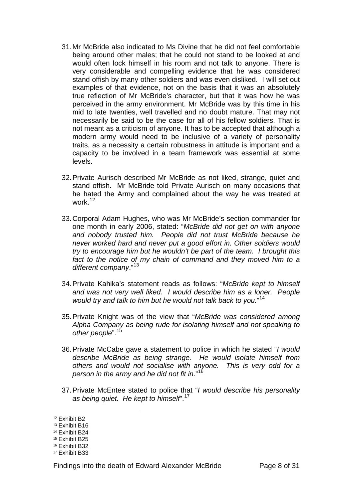- 31. Mr McBride also indicated to Ms Divine that he did not feel comfortable being around other males; that he could not stand to be looked at and would often lock himself in his room and not talk to anyone. There is very considerable and compelling evidence that he was considered stand offish by many other soldiers and was even disliked. I will set out examples of that evidence, not on the basis that it was an absolutely true reflection of Mr McBride's character, but that it was how he was perceived in the army environment. Mr McBride was by this time in his mid to late twenties, well travelled and no doubt mature. That may not necessarily be said to be the case for all of his fellow soldiers. That is not meant as a criticism of anyone. It has to be accepted that although a modern army would need to be inclusive of a variety of personality traits, as a necessity a certain robustness in attitude is important and a capacity to be involved in a team framework was essential at some levels.
- 32. Private Aurisch described Mr McBride as not liked, strange, quiet and stand offish. Mr McBride told Private Aurisch on many occasions that he hated the Army and complained about the way he was treated at work.[12](#page-7-0)
- 33. Corporal Adam Hughes, who was Mr McBride's section commander for one month in early 2006, stated: "*McBride did not get on with anyone and nobody trusted him. People did not trust McBride because he never worked hard and never put a good effort in. Other soldiers would try to encourage him but he wouldn't be part of the team. I brought this*  fact to the notice of my chain of command and they moved him to a *different company*."[13](#page-7-1)
- 34. Private Kahika's statement reads as follows: "*McBride kept to himself and was not very well liked. I would describe him as a loner. People would try and talk to him but he would not talk back to you.*" [14](#page-7-2)
- 35. Private Knight was of the view that "*McBride was considered among Alpha Company as being rude for isolating himself and not speaking to other people*".[15](#page-7-3)
- 36. Private McCabe gave a statement to police in which he stated "*I would describe McBride as being strange. He would isolate himself from others and would not socialise with anyone. This is very odd for a person in the army and he did not fit in*."[16](#page-7-4)
- 37. Private McEntee stated to police that "*I would describe his personality as being quiet. He kept to himself*".[17](#page-7-5)

<span id="page-7-0"></span><sup>12</sup> Exhibit B2

<span id="page-7-1"></span><sup>13</sup> Exhibit B16

<span id="page-7-2"></span><sup>14</sup> Exhibit B24

<span id="page-7-3"></span><sup>15</sup> Exhibit B25

<span id="page-7-4"></span><sup>16</sup> Exhibit B32

<span id="page-7-5"></span><sup>17</sup> Exhibit B33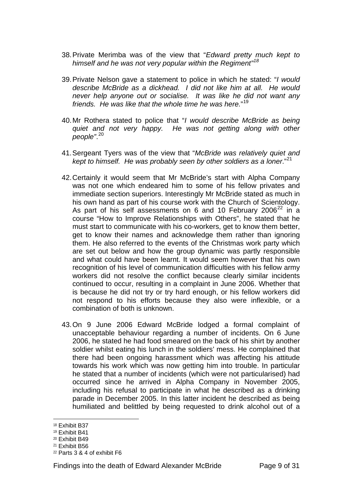- 38. Private Merimba was of the view that "*Edward pretty much kept to himself and he was not very popular within the Regiment"[18](#page-8-0)*
- 39. Private Nelson gave a statement to police in which he stated: "*I would describe McBride as a dickhead. I did not like him at all. He would never help anyone out or socialise. It was like he did not want any friends. He was like that the whole time he was here.*" [19](#page-8-1)
- 40. Mr Rothera stated to police that "*I would describe McBride as being quiet and not very happy. He was not getting along with other people"*. [20](#page-8-2)
- 41. Sergeant Tyers was of the view that "*McBride was relatively quiet and kept to himself. He was probably seen by other soldiers as a loner*."[21](#page-8-3)
- 42. Certainly it would seem that Mr McBride's start with Alpha Company was not one which endeared him to some of his fellow privates and immediate section superiors. Interestingly Mr McBride stated as much in his own hand as part of his course work with the Church of Scientology. As part of his self assessments on 6 and 10 February 2006<sup>[22](#page-8-4)</sup> in a course "How to Improve Relationships with Others", he stated that he must start to communicate with his co-workers, get to know them better, get to know their names and acknowledge them rather than ignoring them. He also referred to the events of the Christmas work party which are set out below and how the group dynamic was partly responsible and what could have been learnt. It would seem however that his own recognition of his level of communication difficulties with his fellow army workers did not resolve the conflict because clearly similar incidents continued to occur, resulting in a complaint in June 2006. Whether that is because he did not try or try hard enough, or his fellow workers did not respond to his efforts because they also were inflexible, or a combination of both is unknown.
- 43. On 9 June 2006 Edward McBride lodged a formal complaint of unacceptable behaviour regarding a number of incidents. On 6 June 2006, he stated he had food smeared on the back of his shirt by another soldier whilst eating his lunch in the soldiers' mess. He complained that there had been ongoing harassment which was affecting his attitude towards his work which was now getting him into trouble. In particular he stated that a number of incidents (which were not particularised) had occurred since he arrived in Alpha Company in November 2005, including his refusal to participate in what he described as a drinking parade in December 2005. In this latter incident he described as being humiliated and belittled by being requested to drink alcohol out of a

<span id="page-8-0"></span><sup>18</sup> Exhibit B37

<span id="page-8-1"></span><sup>19</sup> Exhibit B41

<span id="page-8-2"></span><sup>20</sup> Exhibit B49

<span id="page-8-3"></span><sup>21</sup> Exhibit B56

<span id="page-8-4"></span><sup>22</sup> Parts 3 & 4 of exhibit F6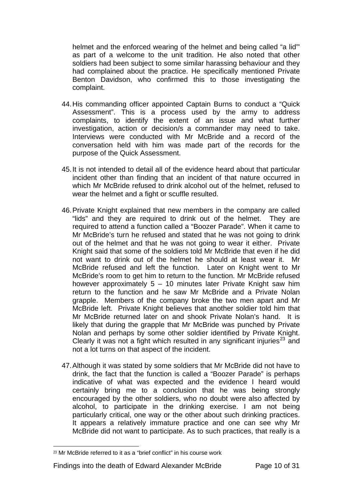helmet and the enforced wearing of the helmet and being called "a lid"' as part of a welcome to the unit tradition. He also noted that other soldiers had been subject to some similar harassing behaviour and they had complained about the practice. He specifically mentioned Private Benton Davidson, who confirmed this to those investigating the complaint.

- 44. His commanding officer appointed Captain Burns to conduct a "Quick Assessment". This is a process used by the army to address complaints, to identify the extent of an issue and what further investigation, action or decision/s a commander may need to take. Interviews were conducted with Mr McBride and a record of the conversation held with him was made part of the records for the purpose of the Quick Assessment.
- 45. It is not intended to detail all of the evidence heard about that particular incident other than finding that an incident of that nature occurred in which Mr McBride refused to drink alcohol out of the helmet, refused to wear the helmet and a fight or scuffle resulted.
- 46. Private Knight explained that new members in the company are called "lids" and they are required to drink out of the helmet. They are required to attend a function called a "Boozer Parade". When it came to Mr McBride's turn he refused and stated that he was not going to drink out of the helmet and that he was not going to wear it either. Private Knight said that some of the soldiers told Mr McBride that even if he did not want to drink out of the helmet he should at least wear it. Mr McBride refused and left the function. Later on Knight went to Mr McBride's room to get him to return to the function. Mr McBride refused however approximately 5 – 10 minutes later Private Knight saw him return to the function and he saw Mr McBride and a Private Nolan grapple. Members of the company broke the two men apart and Mr McBride left. Private Knight believes that another soldier told him that Mr McBride returned later on and shook Private Nolan's hand. It is likely that during the grapple that Mr McBride was punched by Private Nolan and perhaps by some other soldier identified by Private Knight. Clearly it was not a fight which resulted in any significant injuries<sup>[23](#page-9-0)</sup> and not a lot turns on that aspect of the incident.
- 47. Although it was stated by some soldiers that Mr McBride did not have to drink, the fact that the function is called a "Boozer Parade" is perhaps indicative of what was expected and the evidence I heard would certainly bring me to a conclusion that he was being strongly encouraged by the other soldiers, who no doubt were also affected by alcohol, to participate in the drinking exercise. I am not being particularly critical, one way or the other about such drinking practices. It appears a relatively immature practice and one can see why Mr McBride did not want to participate. As to such practices, that really is a

<span id="page-9-0"></span> $23$  Mr McBride referred to it as a "brief conflict" in his course work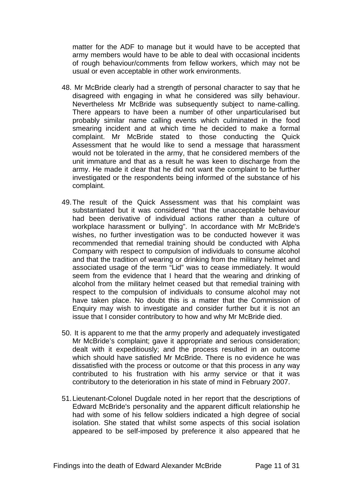matter for the ADF to manage but it would have to be accepted that army members would have to be able to deal with occasional incidents of rough behaviour/comments from fellow workers, which may not be usual or even acceptable in other work environments.

- 48. Mr McBride clearly had a strength of personal character to say that he disagreed with engaging in what he considered was silly behaviour. Nevertheless Mr McBride was subsequently subject to name-calling. There appears to have been a number of other unparticularised but probably similar name calling events which culminated in the food smearing incident and at which time he decided to make a formal complaint. Mr McBride stated to those conducting the Quick Assessment that he would like to send a message that harassment would not be tolerated in the army, that he considered members of the unit immature and that as a result he was keen to discharge from the army. He made it clear that he did not want the complaint to be further investigated or the respondents being informed of the substance of his complaint.
- 49. The result of the Quick Assessment was that his complaint was substantiated but it was considered "that the unacceptable behaviour had been derivative of individual actions rather than a culture of workplace harassment or bullying". In accordance with Mr McBride's wishes, no further investigation was to be conducted however it was recommended that remedial training should be conducted with Alpha Company with respect to compulsion of individuals to consume alcohol and that the tradition of wearing or drinking from the military helmet and associated usage of the term "Lid" was to cease immediately. It would seem from the evidence that I heard that the wearing and drinking of alcohol from the military helmet ceased but that remedial training with respect to the compulsion of individuals to consume alcohol may not have taken place. No doubt this is a matter that the Commission of Enquiry may wish to investigate and consider further but it is not an issue that I consider contributory to how and why Mr McBride died.
- 50. It is apparent to me that the army properly and adequately investigated Mr McBride's complaint; gave it appropriate and serious consideration; dealt with it expeditiously; and the process resulted in an outcome which should have satisfied Mr McBride. There is no evidence he was dissatisfied with the process or outcome or that this process in any way contributed to his frustration with his army service or that it was contributory to the deterioration in his state of mind in February 2007.
- 51. Lieutenant-Colonel Dugdale noted in her report that the descriptions of Edward McBride's personality and the apparent difficult relationship he had with some of his fellow soldiers indicated a high degree of social isolation. She stated that whilst some aspects of this social isolation appeared to be self-imposed by preference it also appeared that he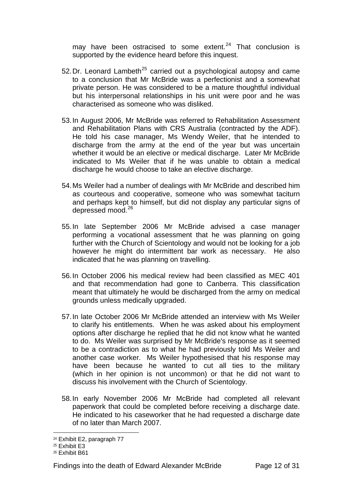may have been ostracised to some extent. $24$  That conclusion is supported by the evidence heard before this inquest.

- 52. Dr. Leonard Lambeth<sup>[25](#page-11-1)</sup> carried out a psychological autopsy and came to a conclusion that Mr McBride was a perfectionist and a somewhat private person. He was considered to be a mature thoughtful individual but his interpersonal relationships in his unit were poor and he was characterised as someone who was disliked.
- 53. In August 2006, Mr McBride was referred to Rehabilitation Assessment and Rehabilitation Plans with CRS Australia (contracted by the ADF). He told his case manager, Ms Wendy Weiler, that he intended to discharge from the army at the end of the year but was uncertain whether it would be an elective or medical discharge. Later Mr McBride indicated to Ms Weiler that if he was unable to obtain a medical discharge he would choose to take an elective discharge.
- 54. Ms Weiler had a number of dealings with Mr McBride and described him as courteous and cooperative, someone who was somewhat taciturn and perhaps kept to himself, but did not display any particular signs of depressed mood.<sup>[26](#page-11-2)</sup>
- 55. In late September 2006 Mr McBride advised a case manager performing a vocational assessment that he was planning on going further with the Church of Scientology and would not be looking for a job however he might do intermittent bar work as necessary. He also indicated that he was planning on travelling.
- 56. In October 2006 his medical review had been classified as MEC 401 and that recommendation had gone to Canberra. This classification meant that ultimately he would be discharged from the army on medical grounds unless medically upgraded.
- 57. In late October 2006 Mr McBride attended an interview with Ms Weiler to clarify his entitlements. When he was asked about his employment options after discharge he replied that he did not know what he wanted to do. Ms Weiler was surprised by Mr McBride's response as it seemed to be a contradiction as to what he had previously told Ms Weiler and another case worker. Ms Weiler hypothesised that his response may have been because he wanted to cut all ties to the military (which in her opinion is not uncommon) or that he did not want to discuss his involvement with the Church of Scientology.
- 58. In early November 2006 Mr McBride had completed all relevant paperwork that could be completed before receiving a discharge date. He indicated to his caseworker that he had requested a discharge date of no later than March 2007.

 $\overline{a}$ <sup>24</sup> Exhibit E2, paragraph 77

<span id="page-11-1"></span><span id="page-11-0"></span><sup>25</sup> Exhibit E3

<span id="page-11-2"></span><sup>26</sup> Exhibit B61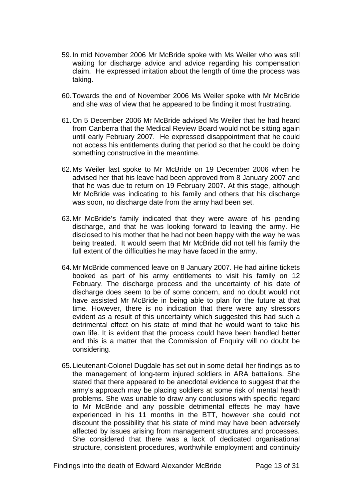- 59. In mid November 2006 Mr McBride spoke with Ms Weiler who was still waiting for discharge advice and advice regarding his compensation claim. He expressed irritation about the length of time the process was taking.
- 60. Towards the end of November 2006 Ms Weiler spoke with Mr McBride and she was of view that he appeared to be finding it most frustrating.
- 61. On 5 December 2006 Mr McBride advised Ms Weiler that he had heard from Canberra that the Medical Review Board would not be sitting again until early February 2007. He expressed disappointment that he could not access his entitlements during that period so that he could be doing something constructive in the meantime.
- 62. Ms Weiler last spoke to Mr McBride on 19 December 2006 when he advised her that his leave had been approved from 8 January 2007 and that he was due to return on 19 February 2007. At this stage, although Mr McBride was indicating to his family and others that his discharge was soon, no discharge date from the army had been set.
- 63. Mr McBride's family indicated that they were aware of his pending discharge, and that he was looking forward to leaving the army. He disclosed to his mother that he had not been happy with the way he was being treated. It would seem that Mr McBride did not tell his family the full extent of the difficulties he may have faced in the army.
- 64. Mr McBride commenced leave on 8 January 2007. He had airline tickets booked as part of his army entitlements to visit his family on 12 February. The discharge process and the uncertainty of his date of discharge does seem to be of some concern, and no doubt would not have assisted Mr McBride in being able to plan for the future at that time. However, there is no indication that there were any stressors evident as a result of this uncertainty which suggested this had such a detrimental effect on his state of mind that he would want to take his own life. It is evident that the process could have been handled better and this is a matter that the Commission of Enquiry will no doubt be considering.
- 65. Lieutenant-Colonel Dugdale has set out in some detail her findings as to the management of long-term injured soldiers in ARA battalions. She stated that there appeared to be anecdotal evidence to suggest that the army's approach may be placing soldiers at some risk of mental health problems. She was unable to draw any conclusions with specific regard to Mr McBride and any possible detrimental effects he may have experienced in his 11 months in the BTT, however she could not discount the possibility that his state of mind may have been adversely affected by issues arising from management structures and processes. She considered that there was a lack of dedicated organisational structure, consistent procedures, worthwhile employment and continuity

Findings into the death of Edward Alexander McBride Page 13 of 31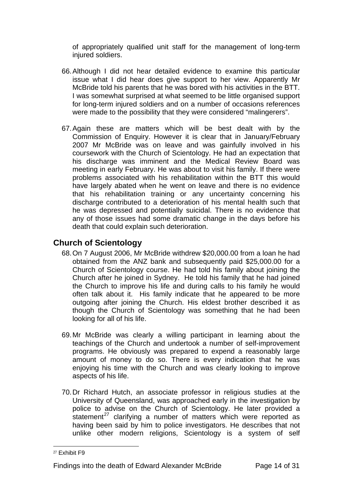of appropriately qualified unit staff for the management of long-term injured soldiers.

- 66. Although I did not hear detailed evidence to examine this particular issue what I did hear does give support to her view. Apparently Mr McBride told his parents that he was bored with his activities in the BTT. I was somewhat surprised at what seemed to be little organised support for long-term injured soldiers and on a number of occasions references were made to the possibility that they were considered "malingerers".
- 67. Again these are matters which will be best dealt with by the Commission of Enquiry. However it is clear that in January/February 2007 Mr McBride was on leave and was gainfully involved in his coursework with the Church of Scientology. He had an expectation that his discharge was imminent and the Medical Review Board was meeting in early February. He was about to visit his family. If there were problems associated with his rehabilitation within the BTT this would have largely abated when he went on leave and there is no evidence that his rehabilitation training or any uncertainty concerning his discharge contributed to a deterioration of his mental health such that he was depressed and potentially suicidal. There is no evidence that any of those issues had some dramatic change in the days before his death that could explain such deterioration.

## **Church of Scientology**

- 68. On 7 August 2006, Mr McBride withdrew \$20,000.00 from a loan he had obtained from the ANZ bank and subsequently paid \$25,000.00 for a Church of Scientology course. He had told his family about joining the Church after he joined in Sydney. He told his family that he had joined the Church to improve his life and during calls to his family he would often talk about it. His family indicate that he appeared to be more outgoing after joining the Church. His eldest brother described it as though the Church of Scientology was something that he had been looking for all of his life.
- 69. Mr McBride was clearly a willing participant in learning about the teachings of the Church and undertook a number of self-improvement programs. He obviously was prepared to expend a reasonably large amount of money to do so. There is every indication that he was enjoying his time with the Church and was clearly looking to improve aspects of his life.
- 70. Dr Richard Hutch, an associate professor in religious studies at the University of Queensland, was approached early in the investigation by police to advise on the Church of Scientology. He later provided a statement<sup>[27](#page-13-0)</sup> clarifying a number of matters which were reported as having been said by him to police investigators. He describes that not unlike other modern religions, Scientology is a system of self

<span id="page-13-0"></span><sup>27</sup> Exhibit F9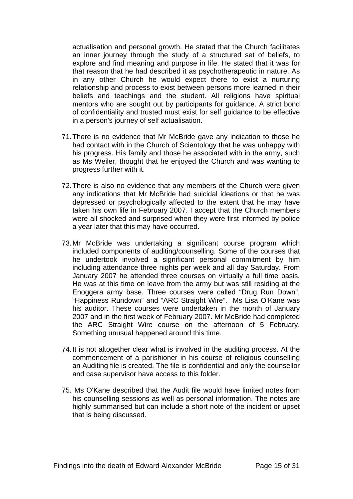actualisation and personal growth. He stated that the Church facilitates an inner journey through the study of a structured set of beliefs, to explore and find meaning and purpose in life. He stated that it was for that reason that he had described it as psychotherapeutic in nature. As in any other Church he would expect there to exist a nurturing relationship and process to exist between persons more learned in their beliefs and teachings and the student. All religions have spiritual mentors who are sought out by participants for guidance. A strict bond of confidentiality and trusted must exist for self guidance to be effective in a person's journey of self actualisation.

- 71. There is no evidence that Mr McBride gave any indication to those he had contact with in the Church of Scientology that he was unhappy with his progress. His family and those he associated with in the army, such as Ms Weiler, thought that he enjoyed the Church and was wanting to progress further with it.
- 72. There is also no evidence that any members of the Church were given any indications that Mr McBride had suicidal ideations or that he was depressed or psychologically affected to the extent that he may have taken his own life in February 2007. I accept that the Church members were all shocked and surprised when they were first informed by police a year later that this may have occurred.
- 73. Mr McBride was undertaking a significant course program which included components of auditing/counselling. Some of the courses that he undertook involved a significant personal commitment by him including attendance three nights per week and all day Saturday. From January 2007 he attended three courses on virtually a full time basis. He was at this time on leave from the army but was still residing at the Enoggera army base. Three courses were called "Drug Run Down", "Happiness Rundown" and "ARC Straight Wire". Ms Lisa O'Kane was his auditor. These courses were undertaken in the month of January 2007 and in the first week of February 2007. Mr McBride had completed the ARC Straight Wire course on the afternoon of 5 February. Something unusual happened around this time.
- 74. It is not altogether clear what is involved in the auditing process. At the commencement of a parishioner in his course of religious counselling an Auditing file is created. The file is confidential and only the counsellor and case supervisor have access to this folder.
- 75. Ms O'Kane described that the Audit file would have limited notes from his counselling sessions as well as personal information. The notes are highly summarised but can include a short note of the incident or upset that is being discussed.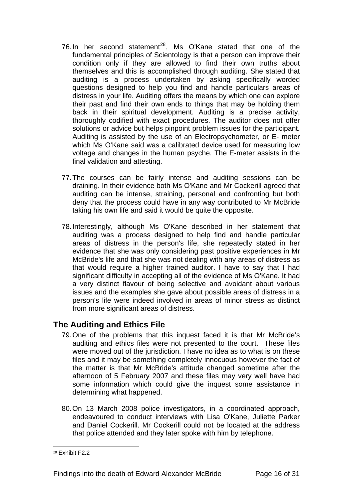- 76. In her second statement<sup>[28](#page-15-0)</sup>, Ms O'Kane stated that one of the fundamental principles of Scientology is that a person can improve their condition only if they are allowed to find their own truths about themselves and this is accomplished through auditing. She stated that auditing is a process undertaken by asking specifically worded questions designed to help you find and handle particulars areas of distress in your life. Auditing offers the means by which one can explore their past and find their own ends to things that may be holding them back in their spiritual development. Auditing is a precise activity, thoroughly codified with exact procedures. The auditor does not offer solutions or advice but helps pinpoint problem issues for the participant. Auditing is assisted by the use of an Electropsychometer, or E- meter which Ms O'Kane said was a calibrated device used for measuring low voltage and changes in the human psyche. The E-meter assists in the final validation and attesting.
- 77. The courses can be fairly intense and auditing sessions can be draining. In their evidence both Ms O'Kane and Mr Cockerill agreed that auditing can be intense, straining, personal and confronting but both deny that the process could have in any way contributed to Mr McBride taking his own life and said it would be quite the opposite.
- 78. Interestingly, although Ms O'Kane described in her statement that auditing was a process designed to help find and handle particular areas of distress in the person's life, she repeatedly stated in her evidence that she was only considering past positive experiences in Mr McBride's life and that she was not dealing with any areas of distress as that would require a higher trained auditor. I have to say that I had significant difficulty in accepting all of the evidence of Ms O'Kane. It had a very distinct flavour of being selective and avoidant about various issues and the examples she gave about possible areas of distress in a person's life were indeed involved in areas of minor stress as distinct from more significant areas of distress.

## **The Auditing and Ethics File**

- 79. One of the problems that this inquest faced it is that Mr McBride's auditing and ethics files were not presented to the court. These files were moved out of the jurisdiction. I have no idea as to what is on these files and it may be something completely innocuous however the fact of the matter is that Mr McBride's attitude changed sometime after the afternoon of 5 February 2007 and these files may very well have had some information which could give the inquest some assistance in determining what happened.
- 80. On 13 March 2008 police investigators, in a coordinated approach, endeavoured to conduct interviews with Lisa O'Kane, Juliette Parker and Daniel Cockerill. Mr Cockerill could not be located at the address that police attended and they later spoke with him by telephone.

<span id="page-15-0"></span><sup>28</sup> Fxhibit F2.2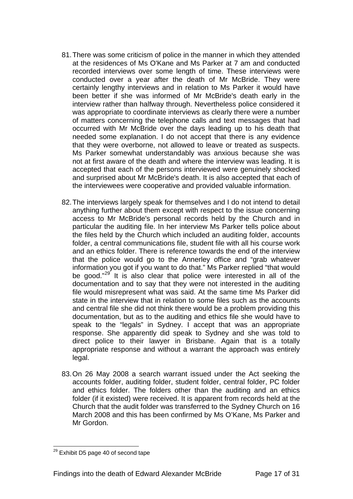- 81. There was some criticism of police in the manner in which they attended at the residences of Ms O'Kane and Ms Parker at 7 am and conducted recorded interviews over some length of time. These interviews were conducted over a year after the death of Mr McBride. They were certainly lengthy interviews and in relation to Ms Parker it would have been better if she was informed of Mr McBride's death early in the interview rather than halfway through. Nevertheless police considered it was appropriate to coordinate interviews as clearly there were a number of matters concerning the telephone calls and text messages that had occurred with Mr McBride over the days leading up to his death that needed some explanation. I do not accept that there is any evidence that they were overborne, not allowed to leave or treated as suspects. Ms Parker somewhat understandably was anxious because she was not at first aware of the death and where the interview was leading. It is accepted that each of the persons interviewed were genuinely shocked and surprised about Mr McBride's death. It is also accepted that each of the interviewees were cooperative and provided valuable information.
- 82. The interviews largely speak for themselves and I do not intend to detail anything further about them except with respect to the issue concerning access to Mr McBride's personal records held by the Church and in particular the auditing file. In her interview Ms Parker tells police about the files held by the Church which included an auditing folder, accounts folder, a central communications file, student file with all his course work and an ethics folder. There is reference towards the end of the interview that the police would go to the Annerley office and "grab whatever information you got if you want to do that." Ms Parker replied "that would be good."<sup>[29](#page-16-0)</sup> It is also clear that police were interested in all of the documentation and to say that they were not interested in the auditing file would misrepresent what was said. At the same time Ms Parker did state in the interview that in relation to some files such as the accounts and central file she did not think there would be a problem providing this documentation, but as to the auditing and ethics file she would have to speak to the "legals" in Sydney. I accept that was an appropriate response. She apparently did speak to Sydney and she was told to direct police to their lawyer in Brisbane. Again that is a totally appropriate response and without a warrant the approach was entirely legal.
- 83. On 26 May 2008 a search warrant issued under the Act seeking the accounts folder, auditing folder, student folder, central folder, PC folder and ethics folder. The folders other than the auditing and an ethics folder (if it existed) were received. It is apparent from records held at the Church that the audit folder was transferred to the Sydney Church on 16 March 2008 and this has been confirmed by Ms O'Kane, Ms Parker and Mr Gordon.

<span id="page-16-0"></span> $\overline{a}$  $^{29}$  Exhibit D5 page 40 of second tape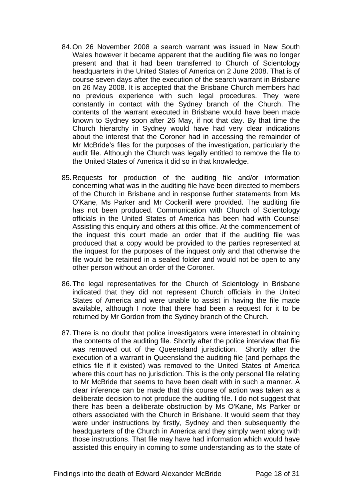- 84. On 26 November 2008 a search warrant was issued in New South Wales however it became apparent that the auditing file was no longer present and that it had been transferred to Church of Scientology headquarters in the United States of America on 2 June 2008. That is of course seven days after the execution of the search warrant in Brisbane on 26 May 2008. It is accepted that the Brisbane Church members had no previous experience with such legal procedures. They were constantly in contact with the Sydney branch of the Church. The contents of the warrant executed in Brisbane would have been made known to Sydney soon after 26 May, if not that day. By that time the Church hierarchy in Sydney would have had very clear indications about the interest that the Coroner had in accessing the remainder of Mr McBride's files for the purposes of the investigation, particularly the audit file. Although the Church was legally entitled to remove the file to the United States of America it did so in that knowledge.
- 85. Requests for production of the auditing file and/or information concerning what was in the auditing file have been directed to members of the Church in Brisbane and in response further statements from Ms O'Kane, Ms Parker and Mr Cockerill were provided. The auditing file has not been produced. Communication with Church of Scientology officials in the United States of America has been had with Counsel Assisting this enquiry and others at this office. At the commencement of the inquest this court made an order that if the auditing file was produced that a copy would be provided to the parties represented at the inquest for the purposes of the inquest only and that otherwise the file would be retained in a sealed folder and would not be open to any other person without an order of the Coroner.
- 86. The legal representatives for the Church of Scientology in Brisbane indicated that they did not represent Church officials in the United States of America and were unable to assist in having the file made available, although I note that there had been a request for it to be returned by Mr Gordon from the Sydney branch of the Church.
- 87. There is no doubt that police investigators were interested in obtaining the contents of the auditing file. Shortly after the police interview that file was removed out of the Queensland jurisdiction. Shortly after the execution of a warrant in Queensland the auditing file (and perhaps the ethics file if it existed) was removed to the United States of America where this court has no jurisdiction. This is the only personal file relating to Mr McBride that seems to have been dealt with in such a manner. A clear inference can be made that this course of action was taken as a deliberate decision to not produce the auditing file. I do not suggest that there has been a deliberate obstruction by Ms O'Kane, Ms Parker or others associated with the Church in Brisbane. It would seem that they were under instructions by firstly, Sydney and then subsequently the headquarters of the Church in America and they simply went along with those instructions. That file may have had information which would have assisted this enquiry in coming to some understanding as to the state of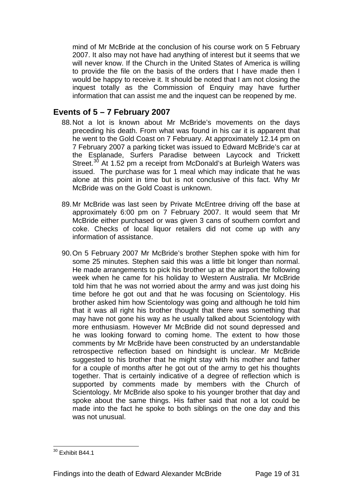mind of Mr McBride at the conclusion of his course work on 5 February 2007. It also may not have had anything of interest but it seems that we will never know. If the Church in the United States of America is willing to provide the file on the basis of the orders that I have made then I would be happy to receive it. It should be noted that I am not closing the inquest totally as the Commission of Enquiry may have further information that can assist me and the inquest can be reopened by me.

## **Events of 5 – 7 February 2007**

- 88. Not a lot is known about Mr McBride's movements on the days preceding his death. From what was found in his car it is apparent that he went to the Gold Coast on 7 February. At approximately 12.14 pm on 7 February 2007 a parking ticket was issued to Edward McBride's car at the Esplanade, Surfers Paradise between Laycock and Trickett Street.<sup>[30](#page-18-0)</sup> At 1.52 pm a receipt from McDonald's at Burleigh Waters was issued. The purchase was for 1 meal which may indicate that he was alone at this point in time but is not conclusive of this fact. Why Mr McBride was on the Gold Coast is unknown.
- 89. Mr McBride was last seen by Private McEntree driving off the base at approximately 6:00 pm on 7 February 2007. It would seem that Mr McBride either purchased or was given 3 cans of southern comfort and coke. Checks of local liquor retailers did not come up with any information of assistance.
- 90. On 5 February 2007 Mr McBride's brother Stephen spoke with him for some 25 minutes. Stephen said this was a little bit longer than normal. He made arrangements to pick his brother up at the airport the following week when he came for his holiday to Western Australia. Mr McBride told him that he was not worried about the army and was just doing his time before he got out and that he was focusing on Scientology. His brother asked him how Scientology was going and although he told him that it was all right his brother thought that there was something that may have not gone his way as he usually talked about Scientology with more enthusiasm. However Mr McBride did not sound depressed and he was looking forward to coming home. The extent to how those comments by Mr McBride have been constructed by an understandable retrospective reflection based on hindsight is unclear. Mr McBride suggested to his brother that he might stay with his mother and father for a couple of months after he got out of the army to get his thoughts together. That is certainly indicative of a degree of reflection which is supported by comments made by members with the Church of Scientology. Mr McBride also spoke to his younger brother that day and spoke about the same things. His father said that not a lot could be made into the fact he spoke to both siblings on the one day and this was not unusual.

<span id="page-18-0"></span> $\overline{a}$  $30$  Exhibit B44.1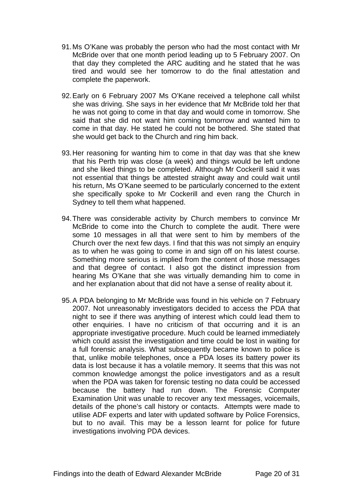- 91. Ms O'Kane was probably the person who had the most contact with Mr McBride over that one month period leading up to 5 February 2007. On that day they completed the ARC auditing and he stated that he was tired and would see her tomorrow to do the final attestation and complete the paperwork.
- 92. Early on 6 February 2007 Ms O'Kane received a telephone call whilst she was driving. She says in her evidence that Mr McBride told her that he was not going to come in that day and would come in tomorrow. She said that she did not want him coming tomorrow and wanted him to come in that day. He stated he could not be bothered. She stated that she would get back to the Church and ring him back.
- 93. Her reasoning for wanting him to come in that day was that she knew that his Perth trip was close (a week) and things would be left undone and she liked things to be completed. Although Mr Cockerill said it was not essential that things be attested straight away and could wait until his return, Ms O'Kane seemed to be particularly concerned to the extent she specifically spoke to Mr Cockerill and even rang the Church in Sydney to tell them what happened.
- 94. There was considerable activity by Church members to convince Mr McBride to come into the Church to complete the audit. There were some 10 messages in all that were sent to him by members of the Church over the next few days. I find that this was not simply an enquiry as to when he was going to come in and sign off on his latest course. Something more serious is implied from the content of those messages and that degree of contact. I also got the distinct impression from hearing Ms O'Kane that she was virtually demanding him to come in and her explanation about that did not have a sense of reality about it.
- 95. A PDA belonging to Mr McBride was found in his vehicle on 7 February 2007. Not unreasonably investigators decided to access the PDA that night to see if there was anything of interest which could lead them to other enquiries. I have no criticism of that occurring and it is an appropriate investigative procedure. Much could be learned immediately which could assist the investigation and time could be lost in waiting for a full forensic analysis. What subsequently became known to police is that, unlike mobile telephones, once a PDA loses its battery power its data is lost because it has a volatile memory. It seems that this was not common knowledge amongst the police investigators and as a result when the PDA was taken for forensic testing no data could be accessed because the battery had run down. The Forensic Computer Examination Unit was unable to recover any text messages, voicemails, details of the phone's call history or contacts. Attempts were made to utilise ADF experts and later with updated software by Police Forensics, but to no avail. This may be a lesson learnt for police for future investigations involving PDA devices.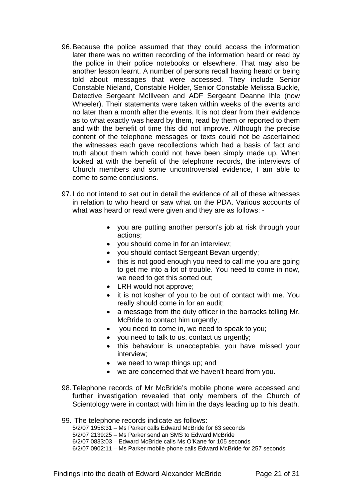- 96. Because the police assumed that they could access the information later there was no written recording of the information heard or read by the police in their police notebooks or elsewhere. That may also be another lesson learnt. A number of persons recall having heard or being told about messages that were accessed. They include Senior Constable Nieland, Constable Holder, Senior Constable Melissa Buckle, Detective Sergeant McIllveen and ADF Sergeant Deanne Ihle (now Wheeler). Their statements were taken within weeks of the events and no later than a month after the events. It is not clear from their evidence as to what exactly was heard by them, read by them or reported to them and with the benefit of time this did not improve. Although the precise content of the telephone messages or texts could not be ascertained the witnesses each gave recollections which had a basis of fact and truth about them which could not have been simply made up. When looked at with the benefit of the telephone records, the interviews of Church members and some uncontroversial evidence, I am able to come to some conclusions.
- 97. I do not intend to set out in detail the evidence of all of these witnesses in relation to who heard or saw what on the PDA. Various accounts of what was heard or read were given and they are as follows: -
	- you are putting another person's job at risk through your actions;
	- you should come in for an interview;
	- you should contact Sergeant Bevan urgently;
	- this is not good enough you need to call me you are going to get me into a lot of trouble. You need to come in now, we need to get this sorted out:
	- LRH would not approve;
	- it is not kosher of you to be out of contact with me. You really should come in for an audit;
	- a message from the duty officer in the barracks telling Mr. McBride to contact him urgently;
	- you need to come in, we need to speak to you;
	- you need to talk to us, contact us urgently;
	- this behaviour is unacceptable, you have missed your interview;
	- we need to wrap things up; and
	- we are concerned that we haven't heard from you.
- 98. Telephone records of Mr McBride's mobile phone were accessed and further investigation revealed that only members of the Church of Scientology were in contact with him in the days leading up to his death.

99. The telephone records indicate as follows: 5/2/07 1958:31 – Ms Parker calls Edward McBride for 63 seconds 5/2/07 2139:25 – Ms Parker send an SMS to Edward McBride 6/2/07 0833:03 – Edward McBride calls Ms O'Kane for 105 seconds 6/2/07 0902:11 – Ms Parker mobile phone calls Edward McBride for 257 seconds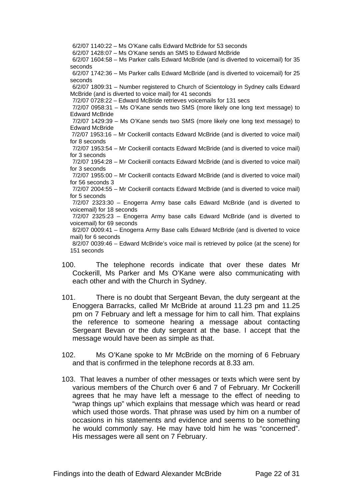6/2/07 1140:22 – Ms O'Kane calls Edward McBride for 53 seconds

6/2/07 1428:07 – Ms O'Kane sends an SMS to Edward McBride

6/2/07 1604:58 – Ms Parker calls Edward McBride (and is diverted to voicemail) for 35 seconds

6/2/07 1742:36 – Ms Parker calls Edward McBride (and is diverted to voicemail) for 25 seconds

6/2/07 1809:31 – Number registered to Church of Scientology in Sydney calls Edward McBride (and is diverted to voice mail) for 41 seconds

7/2/07 0728:22 – Edward McBride retrieves voicemails for 131 secs

7/2/07 0958:31 – Ms O'Kane sends two SMS (more likely one long text message) to Edward McBride

7/2/07 1429:39 – Ms O'Kane sends two SMS (more likely one long text message) to Edward McBride

 7/2/07 1953:16 – Mr Cockerill contacts Edward McBride (and is diverted to voice mail) for 8 seconds

7/2/07 1953:54 – Mr Cockerill contacts Edward McBride (and is diverted to voice mail) for 3 seconds

7/2/07 1954:28 – Mr Cockerill contacts Edward McBride (and is diverted to voice mail) for 3 seconds

7/2/07 1955:00 – Mr Cockerill contacts Edward McBride (and is diverted to voice mail) for 56 seconds 3

7/2/07 2004:55 – Mr Cockerill contacts Edward McBride (and is diverted to voice mail) for 5 seconds

7/2/07 2323:30 – Enogerra Army base calls Edward McBride (and is diverted to voicemail) for 18 seconds

7/2/07 2325:23 – Enogerra Army base calls Edward McBride (and is diverted to voicemail) for 69 seconds

8/2/07 0009:41 – Enogerra Army Base calls Edward McBride (and is diverted to voice mail) for 6 seconds

8/2/07 0039:46 – Edward McBride's voice mail is retrieved by police (at the scene) for 151 seconds

- 100. The telephone records indicate that over these dates Mr Cockerill, Ms Parker and Ms O'Kane were also communicating with each other and with the Church in Sydney.
- 101. There is no doubt that Sergeant Bevan, the duty sergeant at the Enoggera Barracks, called Mr McBride at around 11.23 pm and 11.25 pm on 7 February and left a message for him to call him. That explains the reference to someone hearing a message about contacting Sergeant Bevan or the duty sergeant at the base. I accept that the message would have been as simple as that.
- 102. Ms O'Kane spoke to Mr McBride on the morning of 6 February and that is confirmed in the telephone records at 8.33 am.
- 103. That leaves a number of other messages or texts which were sent by various members of the Church over 6 and 7 of February. Mr Cockerill agrees that he may have left a message to the effect of needing to "wrap things up" which explains that message which was heard or read which used those words. That phrase was used by him on a number of occasions in his statements and evidence and seems to be something he would commonly say. He may have told him he was "concerned". His messages were all sent on 7 February.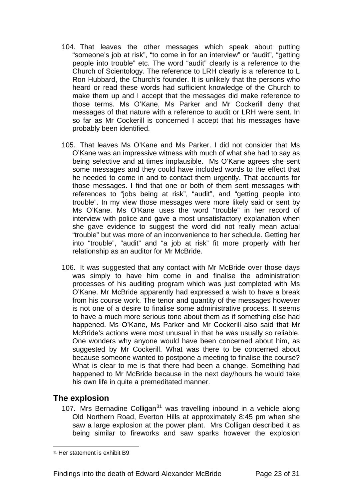- 104. That leaves the other messages which speak about putting "someone's job at risk", "to come in for an interview" or "audit", "getting people into trouble" etc. The word "audit" clearly is a reference to the Church of Scientology. The reference to LRH clearly is a reference to L Ron Hubbard, the Church's founder. It is unlikely that the persons who heard or read these words had sufficient knowledge of the Church to make them up and I accept that the messages did make reference to those terms. Ms O'Kane, Ms Parker and Mr Cockerill deny that messages of that nature with a reference to audit or LRH were sent. In so far as Mr Cockerill is concerned I accept that his messages have probably been identified.
- 105. That leaves Ms O'Kane and Ms Parker. I did not consider that Ms O'Kane was an impressive witness with much of what she had to say as being selective and at times implausible. Ms O'Kane agrees she sent some messages and they could have included words to the effect that he needed to come in and to contact them urgently. That accounts for those messages. I find that one or both of them sent messages with references to "jobs being at risk", "audit", and "getting people into trouble". In my view those messages were more likely said or sent by Ms O'Kane. Ms O'Kane uses the word "trouble" in her record of interview with police and gave a most unsatisfactory explanation when she gave evidence to suggest the word did not really mean actual "trouble" but was more of an inconvenience to her schedule. Getting her into "trouble", "audit" and "a job at risk" fit more properly with her relationship as an auditor for Mr McBride.
- 106. It was suggested that any contact with Mr McBride over those days was simply to have him come in and finalise the administration processes of his auditing program which was just completed with Ms O'Kane. Mr McBride apparently had expressed a wish to have a break from his course work. The tenor and quantity of the messages however is not one of a desire to finalise some administrative process. It seems to have a much more serious tone about them as if something else had happened. Ms O'Kane, Ms Parker and Mr Cockerill also said that Mr McBride's actions were most unusual in that he was usually so reliable. One wonders why anyone would have been concerned about him, as suggested by Mr Cockerill. What was there to be concerned about because someone wanted to postpone a meeting to finalise the course? What is clear to me is that there had been a change. Something had happened to Mr McBride because in the next day/hours he would take his own life in quite a premeditated manner.

## **The explosion**

 $\overline{a}$ 

107. Mrs Bernadine Colligan<sup>[31](#page-22-0)</sup> was travelling inbound in a vehicle along Old Northern Road, Everton Hills at approximately 8:45 pm when she saw a large explosion at the power plant. Mrs Colligan described it as being similar to fireworks and saw sparks however the explosion

<span id="page-22-0"></span><sup>31</sup> Her statement is exhibit B9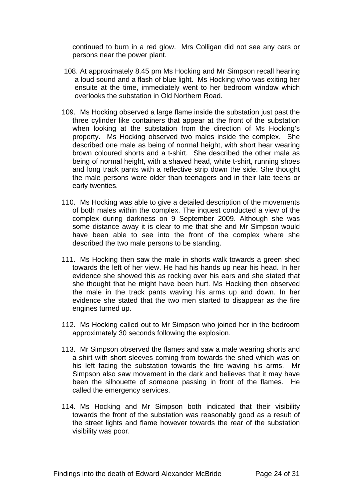continued to burn in a red glow. Mrs Colligan did not see any cars or persons near the power plant.

- 108. At approximately 8.45 pm Ms Hocking and Mr Simpson recall hearing a loud sound and a flash of blue light. Ms Hocking who was exiting her ensuite at the time, immediately went to her bedroom window which overlooks the substation in Old Northern Road.
- 109. Ms Hocking observed a large flame inside the substation just past the three cylinder like containers that appear at the front of the substation when looking at the substation from the direction of Ms Hocking's property. Ms Hocking observed two males inside the complex. She described one male as being of normal height, with short hear wearing brown coloured shorts and a t-shirt. She described the other male as being of normal height, with a shaved head, white t-shirt, running shoes and long track pants with a reflective strip down the side. She thought the male persons were older than teenagers and in their late teens or early twenties.
- 110. Ms Hocking was able to give a detailed description of the movements of both males within the complex. The inquest conducted a view of the complex during darkness on 9 September 2009. Although she was some distance away it is clear to me that she and Mr Simpson would have been able to see into the front of the complex where she described the two male persons to be standing.
- 111. Ms Hocking then saw the male in shorts walk towards a green shed towards the left of her view. He had his hands up near his head. In her evidence she showed this as rocking over his ears and she stated that she thought that he might have been hurt. Ms Hocking then observed the male in the track pants waving his arms up and down. In her evidence she stated that the two men started to disappear as the fire engines turned up.
- 112. Ms Hocking called out to Mr Simpson who joined her in the bedroom approximately 30 seconds following the explosion.
- 113. Mr Simpson observed the flames and saw a male wearing shorts and a shirt with short sleeves coming from towards the shed which was on his left facing the substation towards the fire waving his arms. Mr Simpson also saw movement in the dark and believes that it may have been the silhouette of someone passing in front of the flames. He called the emergency services.
- 114. Ms Hocking and Mr Simpson both indicated that their visibility towards the front of the substation was reasonably good as a result of the street lights and flame however towards the rear of the substation visibility was poor.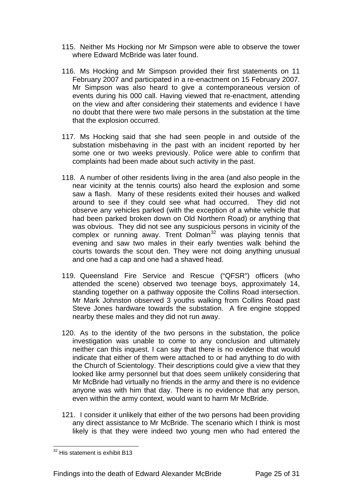- 115. Neither Ms Hocking nor Mr Simpson were able to observe the tower where Edward McBride was later found.
- 116. Ms Hocking and Mr Simpson provided their first statements on 11 February 2007 and participated in a re-enactment on 15 February 2007. Mr Simpson was also heard to give a contemporaneous version of events during his 000 call. Having viewed that re-enactment, attending on the view and after considering their statements and evidence I have no doubt that there were two male persons in the substation at the time that the explosion occurred.
- 117. Ms Hocking said that she had seen people in and outside of the substation misbehaving in the past with an incident reported by her some one or two weeks previously. Police were able to confirm that complaints had been made about such activity in the past.
- 118. A number of other residents living in the area (and also people in the near vicinity at the tennis courts) also heard the explosion and some saw a flash. Many of these residents exited their houses and walked around to see if they could see what had occurred. They did not observe any vehicles parked (with the exception of a white vehicle that had been parked broken down on Old Northern Road) or anything that was obvious. They did not see any suspicious persons in vicinity of the complex or running away. Trent Dolman<sup>[32](#page-24-0)</sup> was playing tennis that evening and saw two males in their early twenties walk behind the courts towards the scout den. They were not doing anything unusual and one had a cap and one had a shaved head.
- 119. Queensland Fire Service and Rescue ("QFSR") officers (who attended the scene) observed two teenage boys, approximately 14, standing together on a pathway opposite the Collins Road intersection. Mr Mark Johnston observed 3 youths walking from Collins Road past Steve Jones hardware towards the substation. A fire engine stopped nearby these males and they did not run away.
- 120. As to the identity of the two persons in the substation, the police investigation was unable to come to any conclusion and ultimately neither can this inquest. I can say that there is no evidence that would indicate that either of them were attached to or had anything to do with the Church of Scientology. Their descriptions could give a view that they looked like army personnel but that does seem unlikely considering that Mr McBride had virtually no friends in the army and there is no evidence anyone was with him that day. There is no evidence that any person, even within the army context, would want to harm Mr McBride.
- 121. I consider it unlikely that either of the two persons had been providing any direct assistance to Mr McBride. The scenario which I think is most likely is that they were indeed two young men who had entered the

<span id="page-24-0"></span> $32$  His statement is exhibit B13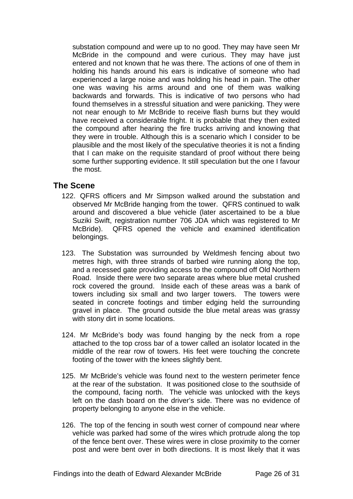substation compound and were up to no good. They may have seen Mr McBride in the compound and were curious. They may have just entered and not known that he was there. The actions of one of them in holding his hands around his ears is indicative of someone who had experienced a large noise and was holding his head in pain. The other one was waving his arms around and one of them was walking backwards and forwards. This is indicative of two persons who had found themselves in a stressful situation and were panicking. They were not near enough to Mr McBride to receive flash burns but they would have received a considerable fright. It is probable that they then exited the compound after hearing the fire trucks arriving and knowing that they were in trouble. Although this is a scenario which I consider to be plausible and the most likely of the speculative theories it is not a finding that I can make on the requisite standard of proof without there being some further supporting evidence. It still speculation but the one I favour the most.

## **The Scene**

- 122. QFRS officers and Mr Simpson walked around the substation and observed Mr McBride hanging from the tower. QFRS continued to walk around and discovered a blue vehicle (later ascertained to be a blue Suziki Swift, registration number 706 JDA which was registered to Mr McBride). QFRS opened the vehicle and examined identification belongings.
- 123. The Substation was surrounded by Weldmesh fencing about two metres high, with three strands of barbed wire running along the top, and a recessed gate providing access to the compound off Old Northern Road. Inside there were two separate areas where blue metal crushed rock covered the ground. Inside each of these areas was a bank of towers including six small and two larger towers. The towers were seated in concrete footings and timber edging held the surrounding gravel in place. The ground outside the blue metal areas was grassy with stony dirt in some locations.
- 124. Mr McBride's body was found hanging by the neck from a rope attached to the top cross bar of a tower called an isolator located in the middle of the rear row of towers. His feet were touching the concrete footing of the tower with the knees slightly bent.
- 125. Mr McBride's vehicle was found next to the western perimeter fence at the rear of the substation. It was positioned close to the southside of the compound, facing north. The vehicle was unlocked with the keys left on the dash board on the driver's side. There was no evidence of property belonging to anyone else in the vehicle.
- 126. The top of the fencing in south west corner of compound near where vehicle was parked had some of the wires which protrude along the top of the fence bent over. These wires were in close proximity to the corner post and were bent over in both directions. It is most likely that it was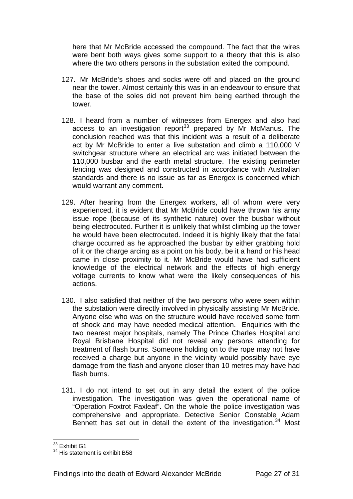here that Mr McBride accessed the compound. The fact that the wires were bent both ways gives some support to a theory that this is also where the two others persons in the substation exited the compound.

- 127. Mr McBride's shoes and socks were off and placed on the ground near the tower. Almost certainly this was in an endeavour to ensure that the base of the soles did not prevent him being earthed through the tower.
- 128. I heard from a number of witnesses from Energex and also had access to an investigation report<sup>[33](#page-26-0)</sup> prepared by Mr McManus. The conclusion reached was that this incident was a result of a deliberate act by Mr McBride to enter a live substation and climb a 110,000 V switchgear structure where an electrical arc was initiated between the 110,000 busbar and the earth metal structure. The existing perimeter fencing was designed and constructed in accordance with Australian standards and there is no issue as far as Energex is concerned which would warrant any comment.
- 129. After hearing from the Energex workers, all of whom were very experienced, it is evident that Mr McBride could have thrown his army issue rope (because of its synthetic nature) over the busbar without being electrocuted. Further it is unlikely that whilst climbing up the tower he would have been electrocuted. Indeed it is highly likely that the fatal charge occurred as he approached the busbar by either grabbing hold of it or the charge arcing as a point on his body, be it a hand or his head came in close proximity to it. Mr McBride would have had sufficient knowledge of the electrical network and the effects of high energy voltage currents to know what were the likely consequences of his actions.
- 130. I also satisfied that neither of the two persons who were seen within the substation were directly involved in physically assisting Mr McBride. Anyone else who was on the structure would have received some form of shock and may have needed medical attention. Enquiries with the two nearest major hospitals, namely The Prince Charles Hospital and Royal Brisbane Hospital did not reveal any persons attending for treatment of flash burns. Someone holding on to the rope may not have received a charge but anyone in the vicinity would possibly have eye damage from the flash and anyone closer than 10 metres may have had flash burns.
- 131. I do not intend to set out in any detail the extent of the police investigation. The investigation was given the operational name of "Operation Foxtrot Faxleaf". On the whole the police investigation was comprehensive and appropriate. Detective Senior Constable Adam Bennett has set out in detail the extent of the investigation.<sup>[34](#page-26-1)</sup> Most

 $\overline{a}$ <sup>33</sup> Exhibit G1

<span id="page-26-1"></span><span id="page-26-0"></span><sup>&</sup>lt;sup>34</sup> His statement is exhibit B58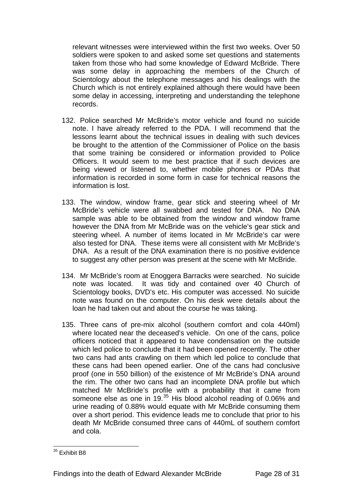relevant witnesses were interviewed within the first two weeks. Over 50 soldiers were spoken to and asked some set questions and statements taken from those who had some knowledge of Edward McBride. There was some delay in approaching the members of the Church of Scientology about the telephone messages and his dealings with the Church which is not entirely explained although there would have been some delay in accessing, interpreting and understanding the telephone records.

- 132. Police searched Mr McBride's motor vehicle and found no suicide note. I have already referred to the PDA. I will recommend that the lessons learnt about the technical issues in dealing with such devices be brought to the attention of the Commissioner of Police on the basis that some training be considered or information provided to Police Officers. It would seem to me best practice that if such devices are being viewed or listened to, whether mobile phones or PDAs that information is recorded in some form in case for technical reasons the information is lost.
- 133. The window, window frame, gear stick and steering wheel of Mr McBride's vehicle were all swabbed and tested for DNA. No DNA sample was able to be obtained from the window and window frame however the DNA from Mr McBride was on the vehicle's gear stick and steering wheel. A number of items located in Mr McBride's car were also tested for DNA. These items were all consistent with Mr McBride's DNA. As a result of the DNA examination there is no positive evidence to suggest any other person was present at the scene with Mr McBride.
- 134. Mr McBride's room at Enoggera Barracks were searched. No suicide note was located. It was tidy and contained over 40 Church of Scientology books, DVD's etc. His computer was accessed. No suicide note was found on the computer. On his desk were details about the loan he had taken out and about the course he was taking.
- 135. Three cans of pre-mix alcohol (southern comfort and cola 440ml) where located near the deceased's vehicle. On one of the cans, police officers noticed that it appeared to have condensation on the outside which led police to conclude that it had been opened recently. The other two cans had ants crawling on them which led police to conclude that these cans had been opened earlier. One of the cans had conclusive proof (one in 550 billion) of the existence of Mr McBride's DNA around the rim. The other two cans had an incomplete DNA profile but which matched Mr McBride's profile with a probability that it came from someone else as one in 19.<sup>[35](#page-27-0)</sup> His blood alcohol reading of 0.06% and urine reading of 0.88% would equate with Mr McBride consuming them over a short period. This evidence leads me to conclude that prior to his death Mr McBride consumed three cans of 440mL of southern comfort and cola.

<span id="page-27-0"></span> $\overline{a}$ <sup>35</sup> Exhibit B8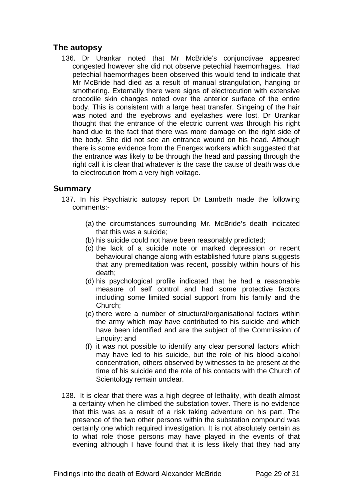## **The autopsy**

136. Dr Urankar noted that Mr McBride's conjunctivae appeared congested however she did not observe petechial haemorrhages. Had petechial haemorrhages been observed this would tend to indicate that Mr McBride had died as a result of manual strangulation, hanging or smothering. Externally there were signs of electrocution with extensive crocodile skin changes noted over the anterior surface of the entire body. This is consistent with a large heat transfer. Singeing of the hair was noted and the eyebrows and eyelashes were lost. Dr Urankar thought that the entrance of the electric current was through his right hand due to the fact that there was more damage on the right side of the body. She did not see an entrance wound on his head. Although there is some evidence from the Energex workers which suggested that the entrance was likely to be through the head and passing through the right calf it is clear that whatever is the case the cause of death was due to electrocution from a very high voltage.

## **Summary**

- 137. In his Psychiatric autopsy report Dr Lambeth made the following comments:-
	- (a) the circumstances surrounding Mr. McBride's death indicated that this was a suicide;
	- (b) his suicide could not have been reasonably predicted;
	- (c) the lack of a suicide note or marked depression or recent behavioural change along with established future plans suggests that any premeditation was recent, possibly within hours of his death;
	- (d) his psychological profile indicated that he had a reasonable measure of self control and had some protective factors including some limited social support from his family and the Church;
	- (e) there were a number of structural/organisational factors within the army which may have contributed to his suicide and which have been identified and are the subject of the Commission of Enquiry; and
	- (f) it was not possible to identify any clear personal factors which may have led to his suicide, but the role of his blood alcohol concentration, others observed by witnesses to be present at the time of his suicide and the role of his contacts with the Church of Scientology remain unclear.
- 138. It is clear that there was a high degree of lethality, with death almost a certainty when he climbed the substation tower. There is no evidence that this was as a result of a risk taking adventure on his part. The presence of the two other persons within the substation compound was certainly one which required investigation. It is not absolutely certain as to what role those persons may have played in the events of that evening although I have found that it is less likely that they had any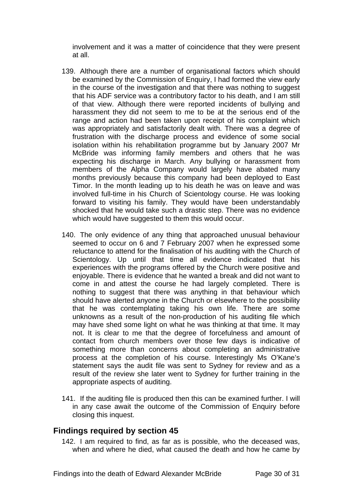involvement and it was a matter of coincidence that they were present at all.

- 139. Although there are a number of organisational factors which should be examined by the Commission of Enquiry, I had formed the view early in the course of the investigation and that there was nothing to suggest that his ADF service was a contributory factor to his death, and I am still of that view. Although there were reported incidents of bullying and harassment they did not seem to me to be at the serious end of the range and action had been taken upon receipt of his complaint which was appropriately and satisfactorily dealt with. There was a degree of frustration with the discharge process and evidence of some social isolation within his rehabilitation programme but by January 2007 Mr McBride was informing family members and others that he was expecting his discharge in March. Any bullying or harassment from members of the Alpha Company would largely have abated many months previously because this company had been deployed to East Timor. In the month leading up to his death he was on leave and was involved full-time in his Church of Scientology course. He was looking forward to visiting his family. They would have been understandably shocked that he would take such a drastic step. There was no evidence which would have suggested to them this would occur.
- 140. The only evidence of any thing that approached unusual behaviour seemed to occur on 6 and 7 February 2007 when he expressed some reluctance to attend for the finalisation of his auditing with the Church of Scientology. Up until that time all evidence indicated that his experiences with the programs offered by the Church were positive and enjoyable. There is evidence that he wanted a break and did not want to come in and attest the course he had largely completed. There is nothing to suggest that there was anything in that behaviour which should have alerted anyone in the Church or elsewhere to the possibility that he was contemplating taking his own life. There are some unknowns as a result of the non-production of his auditing file which may have shed some light on what he was thinking at that time. It may not. It is clear to me that the degree of forcefulness and amount of contact from church members over those few days is indicative of something more than concerns about completing an administrative process at the completion of his course. Interestingly Ms O'Kane's statement says the audit file was sent to Sydney for review and as a result of the review she later went to Sydney for further training in the appropriate aspects of auditing.
- 141. If the auditing file is produced then this can be examined further. I will in any case await the outcome of the Commission of Enquiry before closing this inquest.

### **Findings required by section 45**

142. I am required to find, as far as is possible, who the deceased was, when and where he died, what caused the death and how he came by